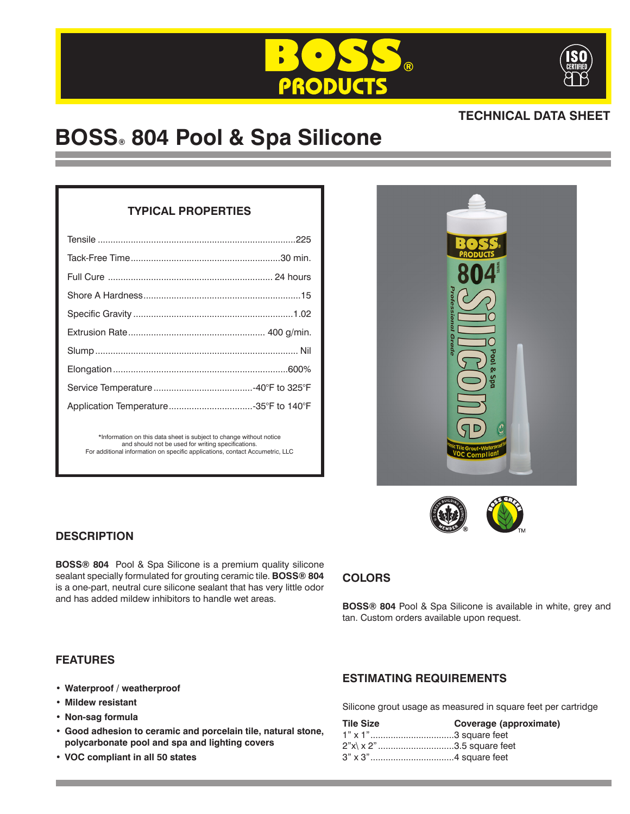



# **TECHNICAL DATA SHEET**

# **BOSS® 804 Pool & Spa Silicone**

# **TYPICAL PROPERTIES**

| *Information on this data sheet is subject to change without notice<br>and should not be used for writing specifications.<br>For additional information on specific applications, contact Accumetric, LLC |  |
|-----------------------------------------------------------------------------------------------------------------------------------------------------------------------------------------------------------|--|





# **DESCRIPTION**

**BOSS® 804** Pool & Spa Silicone is a premium quality silicone sealant specially formulated for grouting ceramic tile. **BOSS® 804** is a one-part, neutral cure silicone sealant that has very little odor and has added mildew inhibitors to handle wet areas.

# **COLORS**

**BOSS® 804** Pool & Spa Silicone is available in white, grey and tan. Custom orders available upon request.

## **FEATURES**

- **• Waterproof / weatherproof**
- **• Mildew resistant**
- **• Non-sag formula**
- **• Good adhesion to ceramic and porcelain tile, natural stone, polycarbonate pool and spa and lighting covers**
- **• VOC compliant in all 50 states**

# **ESTIMATING REQUIREMENTS**

Silicone grout usage as measured in square feet per cartridge

| <b>Tile Size</b>                | Coverage (approximate) |
|---------------------------------|------------------------|
|                                 |                        |
| $2"x \times 2"$ 3.5 square feet |                        |
|                                 |                        |